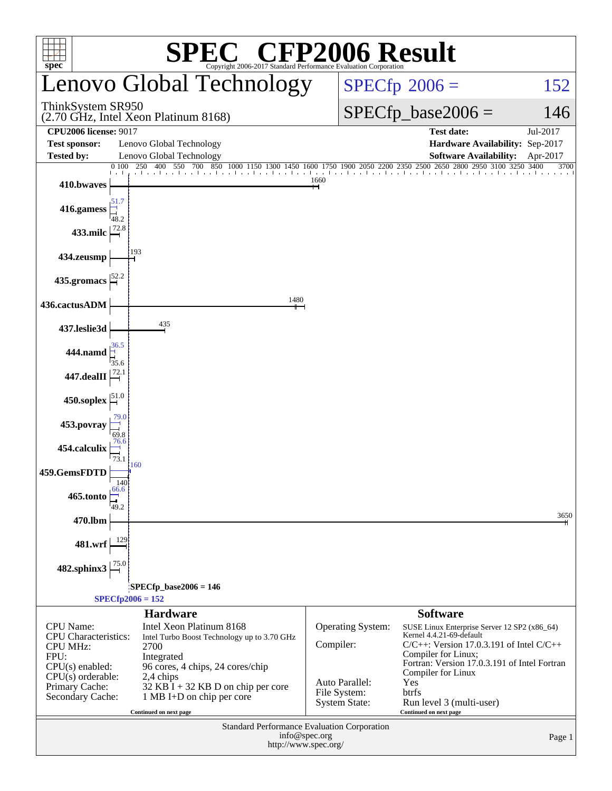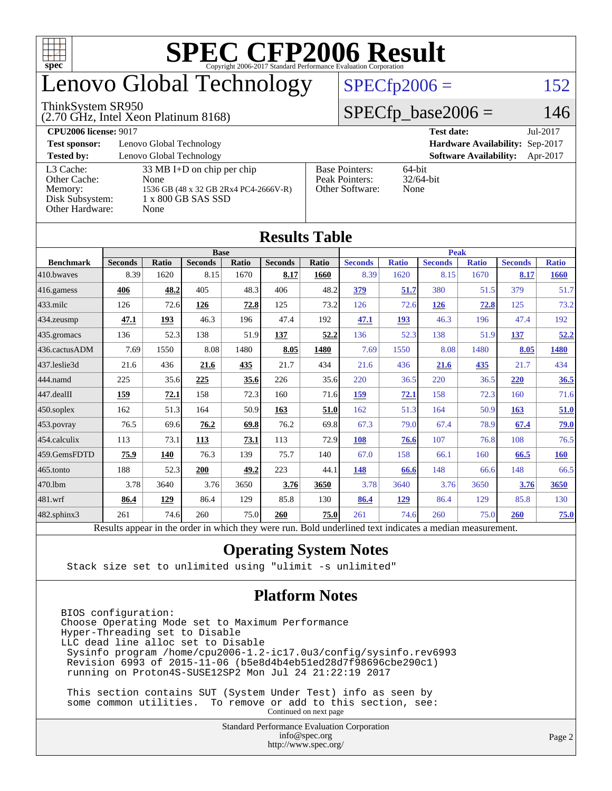

### enovo Global Technology

#### ThinkSystem SR950

(2.70 GHz, Intel Xeon Platinum 8168)

 $SPECfp2006 = 152$  $SPECfp2006 = 152$ 

#### $SPECfp\_base2006 = 146$

| <b>CPU2006 license: 9017</b> |                                       |                                 | <b>Test date:</b><br>Jul-2017             |  |  |  |
|------------------------------|---------------------------------------|---------------------------------|-------------------------------------------|--|--|--|
| <b>Test sponsor:</b>         | Lenovo Global Technology              | Hardware Availability: Sep-2017 |                                           |  |  |  |
| <b>Tested by:</b>            | Lenovo Global Technology              |                                 | <b>Software Availability:</b><br>Apr-2017 |  |  |  |
| L3 Cache:                    | $33 \text{ MB I+D}$ on chip per chip  | <b>Base Pointers:</b>           | $64$ -bit                                 |  |  |  |
| Other Cache:                 | None                                  | Peak Pointers:                  | $32/64$ -bit                              |  |  |  |
| Memory:                      | 1536 GB (48 x 32 GB 2Rx4 PC4-2666V-R) | Other Software:                 | None                                      |  |  |  |
| Disk Subsystem:              | 1 x 800 GB SAS SSD                    |                                 |                                           |  |  |  |
| Other Hardware:              | None                                  |                                 |                                           |  |  |  |

**[Results Table](http://www.spec.org/auto/cpu2006/Docs/result-fields.html#ResultsTable)**

| Results Table          |                                                                                                          |              |                |       |                |       |                |              |                |              |                |              |
|------------------------|----------------------------------------------------------------------------------------------------------|--------------|----------------|-------|----------------|-------|----------------|--------------|----------------|--------------|----------------|--------------|
|                        | <b>Base</b>                                                                                              |              |                |       |                |       | <b>Peak</b>    |              |                |              |                |              |
| <b>Benchmark</b>       | <b>Seconds</b>                                                                                           | <b>Ratio</b> | <b>Seconds</b> | Ratio | <b>Seconds</b> | Ratio | <b>Seconds</b> | <b>Ratio</b> | <b>Seconds</b> | <b>Ratio</b> | <b>Seconds</b> | <b>Ratio</b> |
| 410.bwayes             | 8.39                                                                                                     | 1620         | 8.15           | 1670  | 8.17           | 1660  | 8.39           | 1620         | 8.15           | 1670         | 8.17           | <b>1660</b>  |
| 416.gamess             | 406                                                                                                      | 48.2         | 405            | 48.3  | 406            | 48.2  | 379            | 51.7         | 380            | 51.5         | 379            | 51.7         |
| $433$ .milc            | 126                                                                                                      | 72.6         | 126            | 72.8  | 125            | 73.2  | 126            | 72.6         | 126            | 72.8         | 125            | 73.2         |
| 434.zeusmp             | 47.1                                                                                                     | 193          | 46.3           | 196   | 47.4           | 192   | 47.1           | 193          | 46.3           | 196          | 47.4           | 192          |
| $435$ .gromacs         | 136                                                                                                      | 52.3         | 138            | 51.9  | 137            | 52.2  | 136            | 52.3         | 138            | 51.9         | 137            | 52.2         |
| 436.cactusADM          | 7.69                                                                                                     | 1550         | 8.08           | 1480  | 8.05           | 1480  | 7.69           | 1550         | 8.08           | 1480         | 8.05           | 1480         |
| 437.leslie3d           | 21.6                                                                                                     | 436          | 21.6           | 435   | 21.7           | 434   | 21.6           | 436          | 21.6           | 435          | 21.7           | 434          |
| 444.namd               | 225                                                                                                      | 35.6         | 225            | 35.6  | 226            | 35.6  | 220            | 36.5         | 220            | 36.5         | 220            | 36.5         |
| $ 447 \text{.}$ dealII | 159                                                                                                      | 72.1         | 158            | 72.3  | 160            | 71.6  | 159            | 72.1         | 158            | 72.3         | 160            | 71.6         |
| $450$ .soplex          | 162                                                                                                      | 51.3         | 164            | 50.9  | 163            | 51.0  | 162            | 51.3         | 164            | 50.9         | 163            | 51.0         |
| $ 453$ . povray        | 76.5                                                                                                     | 69.6         | 76.2           | 69.8  | 76.2           | 69.8  | 67.3           | 79.0         | 67.4           | 78.9         | 67.4           | 79.0         |
| $ 454$ .calculix       | 113                                                                                                      | 73.1         | 113            | 73.1  | 113            | 72.9  | 108            | 76.6         | 107            | 76.8         | 108            | 76.5         |
| 459.GemsFDTD           | 75.9                                                                                                     | 140          | 76.3           | 139   | 75.7           | 140   | 67.0           | 158          | 66.1           | 160          | 66.5           | 160          |
| 465.tonto              | 188                                                                                                      | 52.3         | 200            | 49.2  | 223            | 44.1  | 148            | 66.6         | 148            | 66.6         | 148            | 66.5         |
| 470.1bm                | 3.78                                                                                                     | 3640         | 3.76           | 3650  | 3.76           | 3650  | 3.78           | 3640         | 3.76           | 3650         | 3.76           | 3650         |
| 481.wrf                | 86.4                                                                                                     | 129          | 86.4           | 129   | 85.8           | 130   | 86.4           | 129          | 86.4           | 129          | 85.8           | 130          |
| $482$ .sphinx $3$      | 261                                                                                                      | 74.6         | 260            | 75.0  | 260            | 75.0  | 261            | 74.6         | 260            | 75.0         | 260            | 75.0         |
|                        | Results appear in the order in which they were run. Bold underlined text indicates a median measurement. |              |                |       |                |       |                |              |                |              |                |              |

#### **[Operating System Notes](http://www.spec.org/auto/cpu2006/Docs/result-fields.html#OperatingSystemNotes)**

Stack size set to unlimited using "ulimit -s unlimited"

#### **[Platform Notes](http://www.spec.org/auto/cpu2006/Docs/result-fields.html#PlatformNotes)**

BIOS configuration: Choose Operating Mode set to Maximum Performance Hyper-Threading set to Disable LLC dead line alloc set to Disable Sysinfo program /home/cpu2006-1.2-ic17.0u3/config/sysinfo.rev6993 Revision 6993 of 2015-11-06 (b5e8d4b4eb51ed28d7f98696cbe290c1) running on Proton4S-SUSE12SP2 Mon Jul 24 21:22:19 2017

 This section contains SUT (System Under Test) info as seen by some common utilities. To remove or add to this section, see: Continued on next page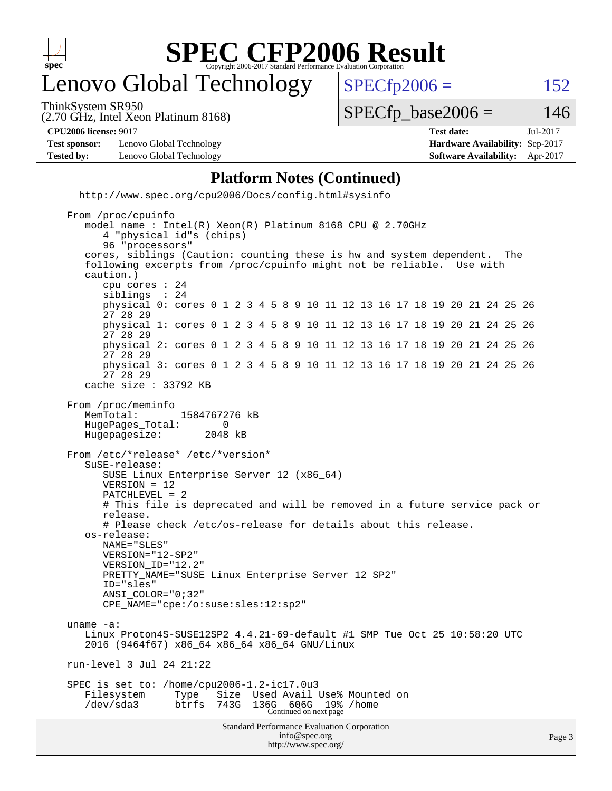

### enovo Global Technology

ThinkSystem SR950

 $SPECTp2006 = 152$ 

(2.70 GHz, Intel Xeon Platinum 8168)

 $SPECTp\_base2006 = 146$ 

#### **[CPU2006 license:](http://www.spec.org/auto/cpu2006/Docs/result-fields.html#CPU2006license)** 9017 **[Test date:](http://www.spec.org/auto/cpu2006/Docs/result-fields.html#Testdate)** Jul-2017

**[Test sponsor:](http://www.spec.org/auto/cpu2006/Docs/result-fields.html#Testsponsor)** Lenovo Global Technology **[Hardware Availability:](http://www.spec.org/auto/cpu2006/Docs/result-fields.html#HardwareAvailability)** Sep-2017 **[Tested by:](http://www.spec.org/auto/cpu2006/Docs/result-fields.html#Testedby)** Lenovo Global Technology **[Software Availability:](http://www.spec.org/auto/cpu2006/Docs/result-fields.html#SoftwareAvailability)** Apr-2017

#### **[Platform Notes \(Continued\)](http://www.spec.org/auto/cpu2006/Docs/result-fields.html#PlatformNotes)**

 <http://www.spec.org/cpu2006/Docs/config.html#sysinfo> From /proc/cpuinfo model name : Intel(R) Xeon(R) Platinum 8168 CPU @ 2.70GHz 4 "physical id"s (chips) 96 "processors"

 cores, siblings (Caution: counting these is hw and system dependent. The following excerpts from /proc/cpuinfo might not be reliable. Use with caution.)

 cpu cores : 24 siblings physical 0: cores 0 1 2 3 4 5 8 9 10 11 12 13 16 17 18 19 20 21 24 25 26 27 28 29 physical 1: cores 0 1 2 3 4 5 8 9 10 11 12 13 16 17 18 19 20 21 24 25 26 27 28 29 physical 2: cores 0 1 2 3 4 5 8 9 10 11 12 13 16 17 18 19 20 21 24 25 26 27 28 29

 physical 3: cores 0 1 2 3 4 5 8 9 10 11 12 13 16 17 18 19 20 21 24 25 26 27 28 29 cache size : 33792 KB

```
 From /proc/meminfo
  MemTotal: 1584767276 kB
  HugePages_Total: 0
```
 Hugepagesize: 2048 kB From /etc/\*release\* /etc/\*version\* SuSE-release: SUSE Linux Enterprise Server 12 (x86\_64) VERSION = 12 PATCHLEVEL = 2 # This file is deprecated and will be removed in a future service pack or release. # Please check /etc/os-release for details about this release. os-release: NAME="SLES" VERSION="12-SP2" VERSION\_ID="12.2" PRETTY\_NAME="SUSE Linux Enterprise Server 12 SP2"

```
 ID="sles"
ANSI_COLOR="0;32"
```
CPE\_NAME="cpe:/o:suse:sles:12:sp2"

 uname -a: Linux Proton4S-SUSE12SP2 4.4.21-69-default #1 SMP Tue Oct 25 10:58:20 UTC 2016 (9464f67) x86\_64 x86\_64 x86\_64 GNU/Linux

run-level 3 Jul 24 21:22

 SPEC is set to: /home/cpu2006-1.2-ic17.0u3 Filesystem Type Size Used Avail Use% Mounted on /dev/sda3 btrfs 743G 136G 606G 19% /home Continued on next page

```
Standard Performance Evaluation Corporation
            info@spec.org
          http://www.spec.org/
```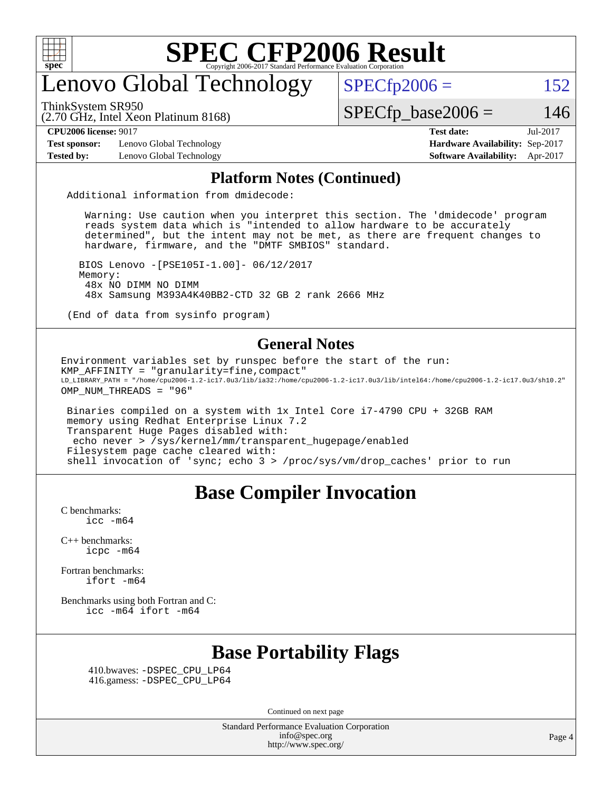

### enovo Global Technology

ThinkSystem SR950

(2.70 GHz, Intel Xeon Platinum 8168)

 $SPECfp2006 = 152$  $SPECfp2006 = 152$ 

 $SPECTp\_base2006 = 146$ 

**[Test sponsor:](http://www.spec.org/auto/cpu2006/Docs/result-fields.html#Testsponsor)** Lenovo Global Technology **[Hardware Availability:](http://www.spec.org/auto/cpu2006/Docs/result-fields.html#HardwareAvailability)** Sep-2017

**[CPU2006 license:](http://www.spec.org/auto/cpu2006/Docs/result-fields.html#CPU2006license)** 9017 **[Test date:](http://www.spec.org/auto/cpu2006/Docs/result-fields.html#Testdate)** Jul-2017 **[Tested by:](http://www.spec.org/auto/cpu2006/Docs/result-fields.html#Testedby)** Lenovo Global Technology **[Software Availability:](http://www.spec.org/auto/cpu2006/Docs/result-fields.html#SoftwareAvailability)** Apr-2017

#### **[Platform Notes \(Continued\)](http://www.spec.org/auto/cpu2006/Docs/result-fields.html#PlatformNotes)**

Additional information from dmidecode:

 Warning: Use caution when you interpret this section. The 'dmidecode' program reads system data which is "intended to allow hardware to be accurately determined", but the intent may not be met, as there are frequent changes to hardware, firmware, and the "DMTF SMBIOS" standard.

 BIOS Lenovo -[PSE105I-1.00]- 06/12/2017 Memory: 48x NO DIMM NO DIMM 48x Samsung M393A4K40BB2-CTD 32 GB 2 rank 2666 MHz

(End of data from sysinfo program)

#### **[General Notes](http://www.spec.org/auto/cpu2006/Docs/result-fields.html#GeneralNotes)**

Environment variables set by runspec before the start of the run: KMP\_AFFINITY = "granularity=fine,compact" LD\_LIBRARY\_PATH = "/home/cpu2006-1.2-ic17.0u3/lib/ia32:/home/cpu2006-1.2-ic17.0u3/lib/intel64:/home/cpu2006-1.2-ic17.0u3/sh10.2" OMP\_NUM\_THREADS = "96"

 Binaries compiled on a system with 1x Intel Core i7-4790 CPU + 32GB RAM memory using Redhat Enterprise Linux 7.2 Transparent Huge Pages disabled with: echo never > /sys/kernel/mm/transparent\_hugepage/enabled Filesystem page cache cleared with: shell invocation of 'sync; echo 3 > /proc/sys/vm/drop\_caches' prior to run

#### **[Base Compiler Invocation](http://www.spec.org/auto/cpu2006/Docs/result-fields.html#BaseCompilerInvocation)**

[C benchmarks](http://www.spec.org/auto/cpu2006/Docs/result-fields.html#Cbenchmarks):  $\text{icc}$   $-\text{m64}$ 

[C++ benchmarks:](http://www.spec.org/auto/cpu2006/Docs/result-fields.html#CXXbenchmarks) [icpc -m64](http://www.spec.org/cpu2006/results/res2017q4/cpu2006-20171031-50408.flags.html#user_CXXbase_intel_icpc_64bit_fc66a5337ce925472a5c54ad6a0de310)

[Fortran benchmarks](http://www.spec.org/auto/cpu2006/Docs/result-fields.html#Fortranbenchmarks): [ifort -m64](http://www.spec.org/cpu2006/results/res2017q4/cpu2006-20171031-50408.flags.html#user_FCbase_intel_ifort_64bit_ee9d0fb25645d0210d97eb0527dcc06e)

[Benchmarks using both Fortran and C](http://www.spec.org/auto/cpu2006/Docs/result-fields.html#BenchmarksusingbothFortranandC): [icc -m64](http://www.spec.org/cpu2006/results/res2017q4/cpu2006-20171031-50408.flags.html#user_CC_FCbase_intel_icc_64bit_bda6cc9af1fdbb0edc3795bac97ada53) [ifort -m64](http://www.spec.org/cpu2006/results/res2017q4/cpu2006-20171031-50408.flags.html#user_CC_FCbase_intel_ifort_64bit_ee9d0fb25645d0210d97eb0527dcc06e)

#### **[Base Portability Flags](http://www.spec.org/auto/cpu2006/Docs/result-fields.html#BasePortabilityFlags)**

 410.bwaves: [-DSPEC\\_CPU\\_LP64](http://www.spec.org/cpu2006/results/res2017q4/cpu2006-20171031-50408.flags.html#suite_basePORTABILITY410_bwaves_DSPEC_CPU_LP64) 416.gamess: [-DSPEC\\_CPU\\_LP64](http://www.spec.org/cpu2006/results/res2017q4/cpu2006-20171031-50408.flags.html#suite_basePORTABILITY416_gamess_DSPEC_CPU_LP64)

Continued on next page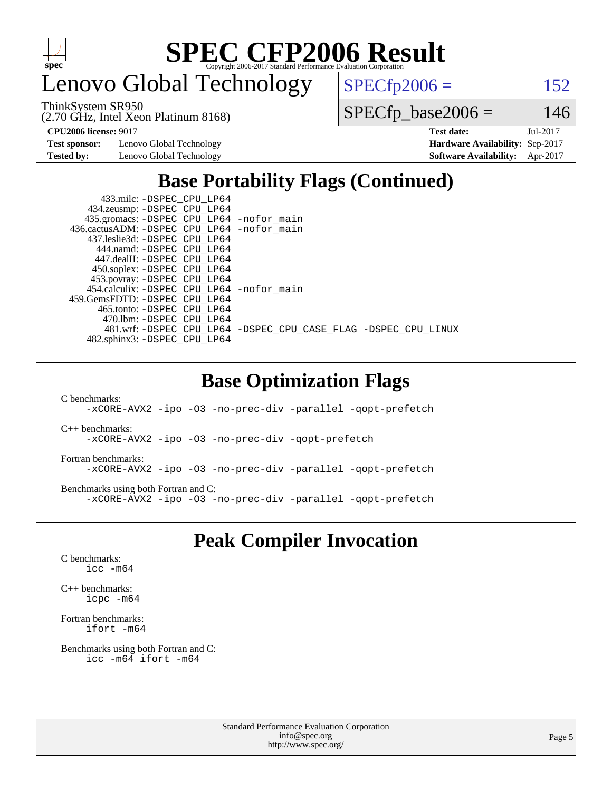

enovo Global Technology

ThinkSystem SR950

(2.70 GHz, Intel Xeon Platinum 8168)

 $SPECTp2006 = 152$ 

 $SPECfp\_base2006 = 146$ 

**[Test sponsor:](http://www.spec.org/auto/cpu2006/Docs/result-fields.html#Testsponsor)** Lenovo Global Technology **[Hardware Availability:](http://www.spec.org/auto/cpu2006/Docs/result-fields.html#HardwareAvailability)** Sep-2017

**[CPU2006 license:](http://www.spec.org/auto/cpu2006/Docs/result-fields.html#CPU2006license)** 9017 **[Test date:](http://www.spec.org/auto/cpu2006/Docs/result-fields.html#Testdate)** Jul-2017 **[Tested by:](http://www.spec.org/auto/cpu2006/Docs/result-fields.html#Testedby)** Lenovo Global Technology **[Software Availability:](http://www.spec.org/auto/cpu2006/Docs/result-fields.html#SoftwareAvailability)** Apr-2017

#### **[Base Portability Flags \(Continued\)](http://www.spec.org/auto/cpu2006/Docs/result-fields.html#BasePortabilityFlags)**

| 433.milc: -DSPEC CPU LP64                    |                                                                |
|----------------------------------------------|----------------------------------------------------------------|
| 434.zeusmp: -DSPEC_CPU_LP64                  |                                                                |
| 435.gromacs: -DSPEC_CPU_LP64 -nofor_main     |                                                                |
| 436.cactusADM: - DSPEC CPU LP64 - nofor main |                                                                |
| 437.leslie3d: -DSPEC CPU LP64                |                                                                |
| 444.namd: -DSPEC CPU LP64                    |                                                                |
| 447.dealII: -DSPEC CPU LP64                  |                                                                |
| 450.soplex: -DSPEC_CPU_LP64                  |                                                                |
| 453.povray: -DSPEC_CPU_LP64                  |                                                                |
| 454.calculix: -DSPEC_CPU_LP64 -nofor_main    |                                                                |
| 459.GemsFDTD: -DSPEC CPU LP64                |                                                                |
| 465.tonto: -DSPEC CPU LP64                   |                                                                |
| 470.1bm: - DSPEC CPU LP64                    |                                                                |
|                                              | 481.wrf: -DSPEC_CPU_LP64 -DSPEC_CPU_CASE_FLAG -DSPEC_CPU_LINUX |
| 482.sphinx3: -DSPEC CPU LP64                 |                                                                |

#### **[Base Optimization Flags](http://www.spec.org/auto/cpu2006/Docs/result-fields.html#BaseOptimizationFlags)**

[C benchmarks](http://www.spec.org/auto/cpu2006/Docs/result-fields.html#Cbenchmarks):

[-xCORE-AVX2](http://www.spec.org/cpu2006/results/res2017q4/cpu2006-20171031-50408.flags.html#user_CCbase_f-xCORE-AVX2) [-ipo](http://www.spec.org/cpu2006/results/res2017q4/cpu2006-20171031-50408.flags.html#user_CCbase_f-ipo) [-O3](http://www.spec.org/cpu2006/results/res2017q4/cpu2006-20171031-50408.flags.html#user_CCbase_f-O3) [-no-prec-div](http://www.spec.org/cpu2006/results/res2017q4/cpu2006-20171031-50408.flags.html#user_CCbase_f-no-prec-div) [-parallel](http://www.spec.org/cpu2006/results/res2017q4/cpu2006-20171031-50408.flags.html#user_CCbase_f-parallel) [-qopt-prefetch](http://www.spec.org/cpu2006/results/res2017q4/cpu2006-20171031-50408.flags.html#user_CCbase_f-qopt-prefetch)

[C++ benchmarks:](http://www.spec.org/auto/cpu2006/Docs/result-fields.html#CXXbenchmarks) [-xCORE-AVX2](http://www.spec.org/cpu2006/results/res2017q4/cpu2006-20171031-50408.flags.html#user_CXXbase_f-xCORE-AVX2) [-ipo](http://www.spec.org/cpu2006/results/res2017q4/cpu2006-20171031-50408.flags.html#user_CXXbase_f-ipo) [-O3](http://www.spec.org/cpu2006/results/res2017q4/cpu2006-20171031-50408.flags.html#user_CXXbase_f-O3) [-no-prec-div](http://www.spec.org/cpu2006/results/res2017q4/cpu2006-20171031-50408.flags.html#user_CXXbase_f-no-prec-div) [-qopt-prefetch](http://www.spec.org/cpu2006/results/res2017q4/cpu2006-20171031-50408.flags.html#user_CXXbase_f-qopt-prefetch)

[Fortran benchmarks](http://www.spec.org/auto/cpu2006/Docs/result-fields.html#Fortranbenchmarks): [-xCORE-AVX2](http://www.spec.org/cpu2006/results/res2017q4/cpu2006-20171031-50408.flags.html#user_FCbase_f-xCORE-AVX2) [-ipo](http://www.spec.org/cpu2006/results/res2017q4/cpu2006-20171031-50408.flags.html#user_FCbase_f-ipo) [-O3](http://www.spec.org/cpu2006/results/res2017q4/cpu2006-20171031-50408.flags.html#user_FCbase_f-O3) [-no-prec-div](http://www.spec.org/cpu2006/results/res2017q4/cpu2006-20171031-50408.flags.html#user_FCbase_f-no-prec-div) [-parallel](http://www.spec.org/cpu2006/results/res2017q4/cpu2006-20171031-50408.flags.html#user_FCbase_f-parallel) [-qopt-prefetch](http://www.spec.org/cpu2006/results/res2017q4/cpu2006-20171031-50408.flags.html#user_FCbase_f-qopt-prefetch)

[Benchmarks using both Fortran and C](http://www.spec.org/auto/cpu2006/Docs/result-fields.html#BenchmarksusingbothFortranandC): [-xCORE-AVX2](http://www.spec.org/cpu2006/results/res2017q4/cpu2006-20171031-50408.flags.html#user_CC_FCbase_f-xCORE-AVX2) [-ipo](http://www.spec.org/cpu2006/results/res2017q4/cpu2006-20171031-50408.flags.html#user_CC_FCbase_f-ipo) [-O3](http://www.spec.org/cpu2006/results/res2017q4/cpu2006-20171031-50408.flags.html#user_CC_FCbase_f-O3) [-no-prec-div](http://www.spec.org/cpu2006/results/res2017q4/cpu2006-20171031-50408.flags.html#user_CC_FCbase_f-no-prec-div) [-parallel](http://www.spec.org/cpu2006/results/res2017q4/cpu2006-20171031-50408.flags.html#user_CC_FCbase_f-parallel) [-qopt-prefetch](http://www.spec.org/cpu2006/results/res2017q4/cpu2006-20171031-50408.flags.html#user_CC_FCbase_f-qopt-prefetch)

#### **[Peak Compiler Invocation](http://www.spec.org/auto/cpu2006/Docs/result-fields.html#PeakCompilerInvocation)**

[C benchmarks](http://www.spec.org/auto/cpu2006/Docs/result-fields.html#Cbenchmarks): [icc -m64](http://www.spec.org/cpu2006/results/res2017q4/cpu2006-20171031-50408.flags.html#user_CCpeak_intel_icc_64bit_bda6cc9af1fdbb0edc3795bac97ada53)

[C++ benchmarks:](http://www.spec.org/auto/cpu2006/Docs/result-fields.html#CXXbenchmarks) [icpc -m64](http://www.spec.org/cpu2006/results/res2017q4/cpu2006-20171031-50408.flags.html#user_CXXpeak_intel_icpc_64bit_fc66a5337ce925472a5c54ad6a0de310)

[Fortran benchmarks](http://www.spec.org/auto/cpu2006/Docs/result-fields.html#Fortranbenchmarks): [ifort -m64](http://www.spec.org/cpu2006/results/res2017q4/cpu2006-20171031-50408.flags.html#user_FCpeak_intel_ifort_64bit_ee9d0fb25645d0210d97eb0527dcc06e)

[Benchmarks using both Fortran and C](http://www.spec.org/auto/cpu2006/Docs/result-fields.html#BenchmarksusingbothFortranandC): [icc -m64](http://www.spec.org/cpu2006/results/res2017q4/cpu2006-20171031-50408.flags.html#user_CC_FCpeak_intel_icc_64bit_bda6cc9af1fdbb0edc3795bac97ada53) [ifort -m64](http://www.spec.org/cpu2006/results/res2017q4/cpu2006-20171031-50408.flags.html#user_CC_FCpeak_intel_ifort_64bit_ee9d0fb25645d0210d97eb0527dcc06e)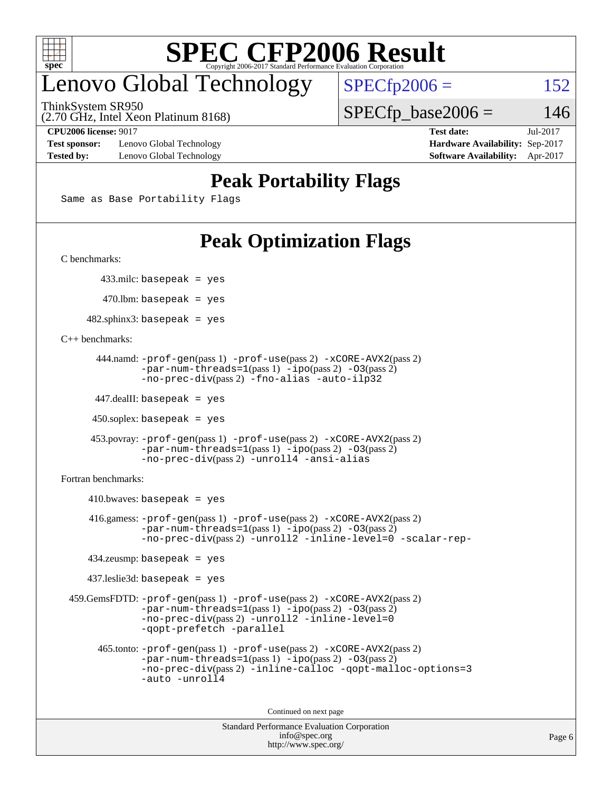

### enovo Global Technology

ThinkSystem SR950

 $SPECTp2006 = 152$ 

(2.70 GHz, Intel Xeon Platinum 8168)

**[Test sponsor:](http://www.spec.org/auto/cpu2006/Docs/result-fields.html#Testsponsor)** Lenovo Global Technology **[Hardware Availability:](http://www.spec.org/auto/cpu2006/Docs/result-fields.html#HardwareAvailability)** Sep-2017 **[Tested by:](http://www.spec.org/auto/cpu2006/Docs/result-fields.html#Testedby)** Lenovo Global Technology **[Software Availability:](http://www.spec.org/auto/cpu2006/Docs/result-fields.html#SoftwareAvailability)** Apr-2017

**[CPU2006 license:](http://www.spec.org/auto/cpu2006/Docs/result-fields.html#CPU2006license)** 9017 **[Test date:](http://www.spec.org/auto/cpu2006/Docs/result-fields.html#Testdate)** Jul-2017

 $SPECTp\_base2006 = 146$ 

#### **[Peak Portability Flags](http://www.spec.org/auto/cpu2006/Docs/result-fields.html#PeakPortabilityFlags)**

Same as Base Portability Flags

### **[Peak Optimization Flags](http://www.spec.org/auto/cpu2006/Docs/result-fields.html#PeakOptimizationFlags)**

[C benchmarks](http://www.spec.org/auto/cpu2006/Docs/result-fields.html#Cbenchmarks):

433.milc: basepeak = yes

 $470$ .lbm: basepeak = yes

 $482$ .sphinx3: basepeak = yes

[C++ benchmarks:](http://www.spec.org/auto/cpu2006/Docs/result-fields.html#CXXbenchmarks)

```
 444.namd: -prof-gen(pass 1) -prof-use(pass 2) -xCORE-AVX2(pass 2)
       -par-num-threads=1(pass 1) -ipo(pass 2) -O3(pass 2)
       -no-prec-div(pass 2) -fno-alias -auto-ilp32
```
447.dealII: basepeak = yes

 $450$ .soplex: basepeak = yes

```
 453.povray: -prof-gen(pass 1) -prof-use(pass 2) -xCORE-AVX2(pass 2)
        -par-num-threads=1-ipo-O3(pass 2)-no-prec-div(pass 2) -unroll4 -ansi-alias
```
[Fortran benchmarks](http://www.spec.org/auto/cpu2006/Docs/result-fields.html#Fortranbenchmarks):

```
410.bwaves: basepeak = yes 416.gamess: -prof-gen(pass 1) -prof-use(pass 2) -xCORE-AVX2(pass 2)
           -par-num-threads=1-ipo-O3(pass 2)-no-prec-div(pass 2) -unroll2 -inline-level=0 -scalar-rep-
   434.zeusmp: basepeak = yes
   437.leslie3d: basepeak = yes
459.GemsFDTD: -prof-gen(pass 1) -prof-use(pass 2) -xCORE-AVX2(pass 2)
           -par-num-threads=1-ipo-O3(pass 2)-no-prec-div(pass 2) -unroll2 -inline-level=0
           -qopt-prefetch -parallel
     465.tonto: -prof-gen(pass 1) -prof-use(pass 2) -xCORE-AVX2(pass 2)
           -par-num-threads=1(pass 1) -ipo(pass 2) -O3(pass 2)
           -no-prec-div-inline-calloc-qopt-malloc-options=3
           -auto -unroll4
```
Continued on next page

```
Standard Performance Evaluation Corporation
            info@spec.org
          http://www.spec.org/
```